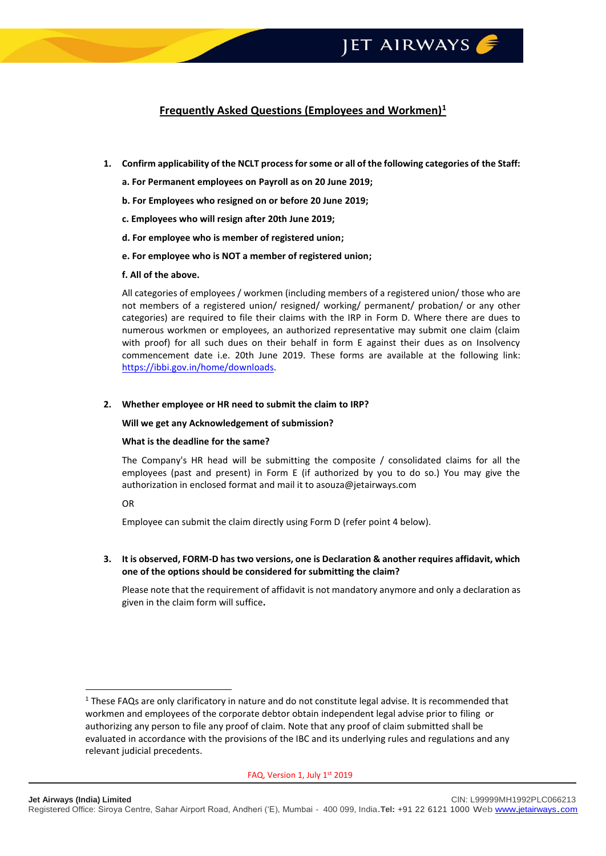## **Frequently Asked Questions (Employees and Workmen)<sup>1</sup>**

- **1. Confirm applicability of the NCLT process for some or all of the following categories of the Staff:**
	- **a. For Permanent employees on Payroll as on 20 June 2019;**
	- **b. For Employees who resigned on or before 20 June 2019;**
	- **c. Employees who will resign after 20th June 2019;**
	- **d. For employee who is member of registered union;**
	- **e. For employee who is NOT a member of registered union;**
	- **f. All of the above.**

All categories of employees / workmen (including members of a registered union/ those who are not members of a registered union/ resigned/ working/ permanent/ probation/ or any other categories) are required to file their claims with the IRP in Form D. Where there are dues to numerous workmen or employees, an authorized representative may submit one claim (claim with proof) for all such dues on their behalf in form E against their dues as on Insolvency commencement date i.e. 20th June 2019. These forms are available at the following link: [https://ibbi.gov.in/home/downloads.](https://ibbi.gov.in/home/downloads)

#### **2. Whether employee or HR need to submit the claim to IRP?**

**Will we get any Acknowledgement of submission?**

#### **What is the deadline for the same?**

The Company's HR head will be submitting the composite / consolidated claims for all the employees (past and present) in Form E (if authorized by you to do so.) You may give the authorization in enclosed format and mail it to asouza@jetairways.com

OR

1

Employee can submit the claim directly using Form D (refer point 4 below).

**3. It is observed, FORM-D has two versions, one is Declaration & another requires affidavit, which one of the options should be considered for submitting the claim?**

Please note that the requirement of affidavit is not mandatory anymore and only a declaration as given in the claim form will suffice**.**

<sup>&</sup>lt;sup>1</sup> These FAQs are only clarificatory in nature and do not constitute legal advise. It is recommended that workmen and employees of the corporate debtor obtain independent legal advise prior to filing or authorizing any person to file any proof of claim. Note that any proof of claim submitted shall be evaluated in accordance with the provisions of the IBC and its underlying rules and regulations and any relevant judicial precedents.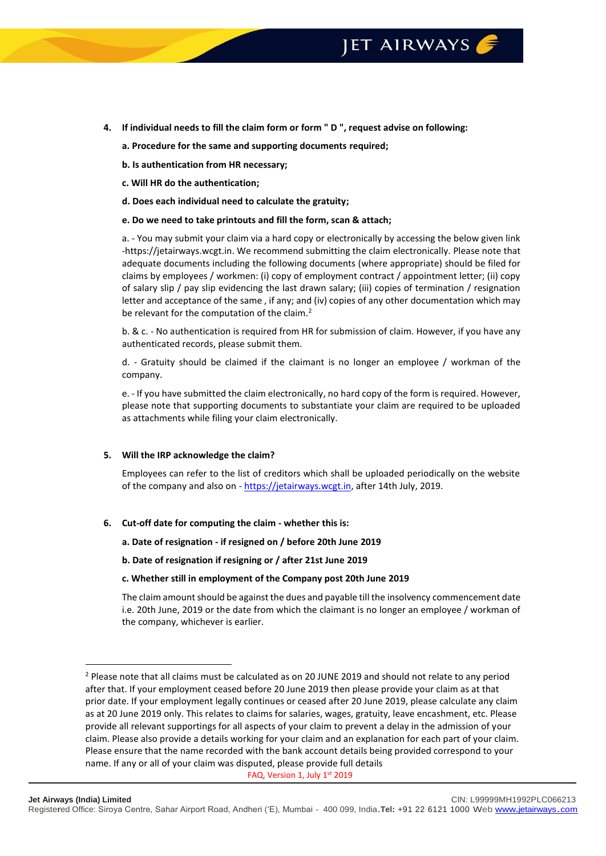- **4. If individual needs to fill the claim form or form " D ", request advise on following:**
	- **a. Procedure for the same and supporting documents required;**
	- **b. Is authentication from HR necessary;**
	- **c. Will HR do the authentication;**
	- **d. Does each individual need to calculate the gratuity;**
	- **e. Do we need to take printouts and fill the form, scan & attach;**

a. - You may submit your claim via a hard copy or electronically by accessing the below given link -https://jetairways.wcgt.in. We recommend submitting the claim electronically. Please note that adequate documents including the following documents (where appropriate) should be filed for claims by employees / workmen: (i) copy of employment contract / appointment letter; (ii) copy of salary slip / pay slip evidencing the last drawn salary; (iii) copies of termination / resignation letter and acceptance of the same , if any; and (iv) copies of any other documentation which may be relevant for the computation of the claim.<sup>2</sup>

b. & c. - No authentication is required from HR for submission of claim. However, if you have any authenticated records, please submit them.

d. - Gratuity should be claimed if the claimant is no longer an employee / workman of the company.

e. - If you have submitted the claim electronically, no hard copy of the form is required. However, please note that supporting documents to substantiate your claim are required to be uploaded as attachments while filing your claim electronically.

#### **5. Will the IRP acknowledge the claim?**

1

Employees can refer to the list of creditors which shall be uploaded periodically on the website of the company and also on - [https://jetairways.wcgt.in,](https://jetairways.wcgt.in/) after 14th July, 2019.

#### **6. Cut-off date for computing the claim - whether this is:**

- **a. Date of resignation - if resigned on / before 20th June 2019**
- **b. Date of resignation if resigning or / after 21st June 2019**

#### **c. Whether still in employment of the Company post 20th June 2019**

The claim amount should be against the dues and payable till the insolvency commencement date i.e. 20th June, 2019 or the date from which the claimant is no longer an employee / workman of the company, whichever is earlier.

<sup>&</sup>lt;sup>2</sup> Please note that all claims must be calculated as on 20 JUNE 2019 and should not relate to any period after that. If your employment ceased before 20 June 2019 then please provide your claim as at that prior date. If your employment legally continues or ceased after 20 June 2019, please calculate any claim as at 20 June 2019 only. This relates to claims for salaries, wages, gratuity, leave encashment, etc. Please provide all relevant supportings for all aspects of your claim to prevent a delay in the admission of your claim. Please also provide a details working for your claim and an explanation for each part of your claim. Please ensure that the name recorded with the bank account details being provided correspond to your name. If any or all of your claim was disputed, please provide full details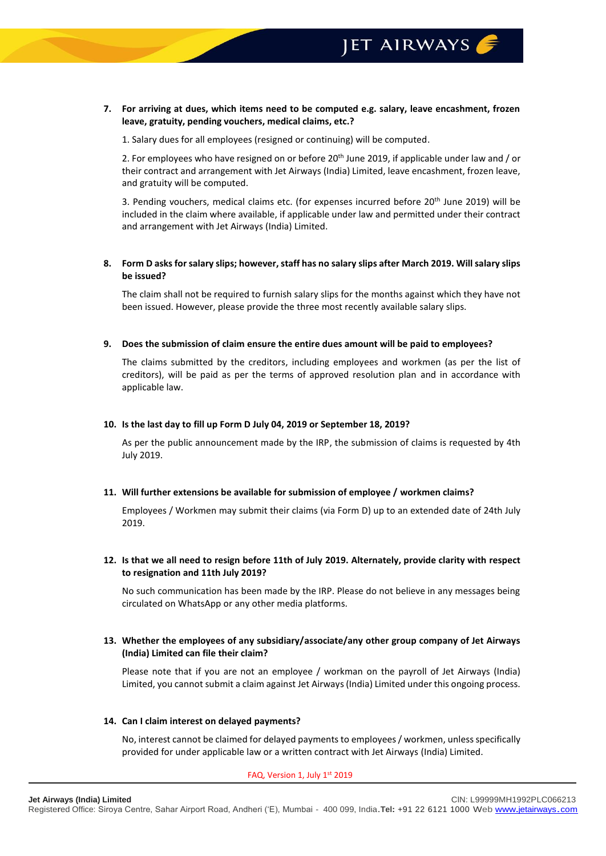**7. For arriving at dues, which items need to be computed e.g. salary, leave encashment, frozen leave, gratuity, pending vouchers, medical claims, etc.?**

1. Salary dues for all employees (resigned or continuing) will be computed.

2. For employees who have resigned on or before 20th June 2019, if applicable under law and / or their contract and arrangement with Jet Airways (India) Limited, leave encashment, frozen leave, and gratuity will be computed.

3. Pending vouchers, medical claims etc. (for expenses incurred before  $20<sup>th</sup>$  June 2019) will be included in the claim where available, if applicable under law and permitted under their contract and arrangement with Jet Airways (India) Limited.

## **8. Form D asks for salary slips; however, staff has no salary slips after March 2019. Will salary slips be issued?**

The claim shall not be required to furnish salary slips for the months against which they have not been issued. However, please provide the three most recently available salary slips.

**9. Does the submission of claim ensure the entire dues amount will be paid to employees?**

The claims submitted by the creditors, including employees and workmen (as per the list of creditors), will be paid as per the terms of approved resolution plan and in accordance with applicable law.

### **10. Is the last day to fill up Form D July 04, 2019 or September 18, 2019?**

As per the public announcement made by the IRP, the submission of claims is requested by 4th July 2019.

#### **11. Will further extensions be available for submission of employee / workmen claims?**

Employees / Workmen may submit their claims (via Form D) up to an extended date of 24th July 2019.

### **12. Is that we all need to resign before 11th of July 2019. Alternately, provide clarity with respect to resignation and 11th July 2019?**

No such communication has been made by the IRP. Please do not believe in any messages being circulated on WhatsApp or any other media platforms.

**13. Whether the employees of any subsidiary/associate/any other group company of Jet Airways (India) Limited can file their claim?**

Please note that if you are not an employee / workman on the payroll of Jet Airways (India) Limited, you cannot submit a claim against Jet Airways(India) Limited under this ongoing process.

#### **14. Can I claim interest on delayed payments?**

No, interest cannot be claimed for delayed payments to employees / workmen, unless specifically provided for under applicable law or a written contract with Jet Airways (India) Limited.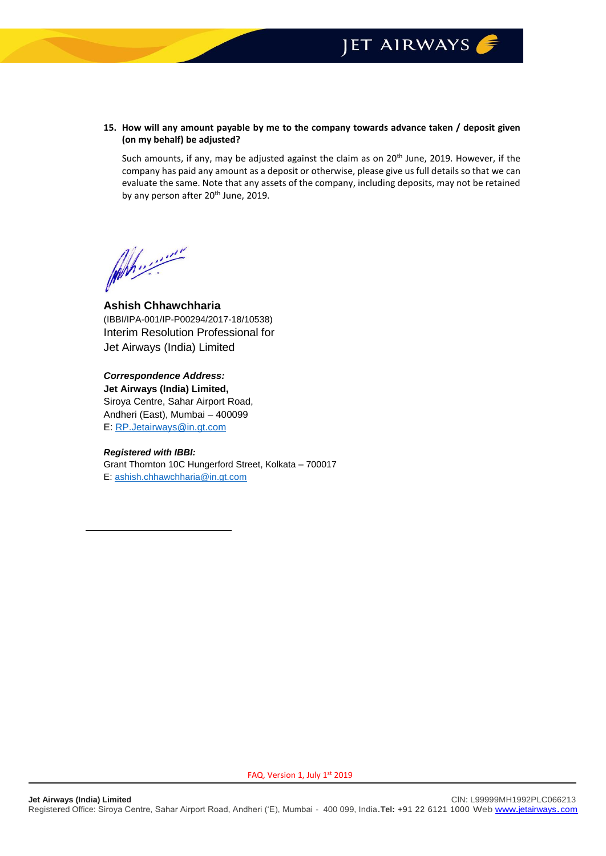## JET AIRWAYS

**15. How will any amount payable by me to the company towards advance taken / deposit given (on my behalf) be adjusted?**

Such amounts, if any, may be adjusted against the claim as on 20<sup>th</sup> June, 2019. However, if the company has paid any amount as a deposit or otherwise, please give us full details so that we can evaluate the same. Note that any assets of the company, including deposits, may not be retained by any person after 20<sup>th</sup> June, 2019.

Why ......

**Ashish Chhawchharia** (IBBI/IPA-001/IP-P00294/2017-18/10538) Interim Resolution Professional for Jet Airways (India) Limited

*Correspondence Address:* **Jet Airways (India) Limited,** Siroya Centre, Sahar Airport Road, Andheri (East), Mumbai – 400099 E[: RP.Jetairways@in.gt.com](mailto:RP.Jetairways@in.gt.com)

## *Registered with IBBI:*

Grant Thornton 10C Hungerford Street, Kolkata – 700017 E: [ashish.chhawchharia@in.gt.com](mailto:ashish.chhawchharia@in.gt.com)